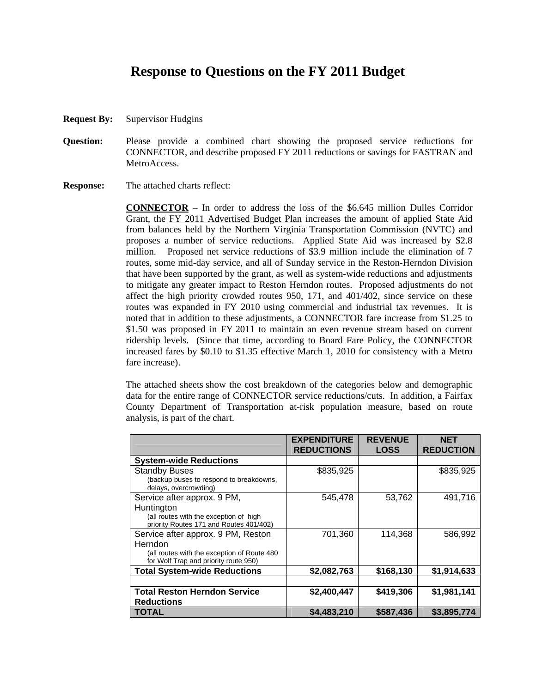# **Response to Questions on the FY 2011 Budget**

- **Request By:** Supervisor Hudgins
- **Question:** Please provide a combined chart showing the proposed service reductions for CONNECTOR, and describe proposed FY 2011 reductions or savings for FASTRAN and MetroAccess.

**Response:** The attached charts reflect:

**CONNECTOR** – In order to address the loss of the \$6.645 million Dulles Corridor Grant, the FY 2011 Advertised Budget Plan increases the amount of applied State Aid from balances held by the Northern Virginia Transportation Commission (NVTC) and proposes a number of service reductions. Applied State Aid was increased by \$2.8 million. Proposed net service reductions of \$3.9 million include the elimination of 7 routes, some mid-day service, and all of Sunday service in the Reston-Herndon Division that have been supported by the grant, as well as system-wide reductions and adjustments to mitigate any greater impact to Reston Herndon routes. Proposed adjustments do not affect the high priority crowded routes 950, 171, and 401/402, since service on these routes was expanded in FY 2010 using commercial and industrial tax revenues. It is noted that in addition to these adjustments, a CONNECTOR fare increase from \$1.25 to \$1.50 was proposed in FY 2011 to maintain an even revenue stream based on current ridership levels. (Since that time, according to Board Fare Policy, the CONNECTOR increased fares by \$0.10 to \$1.35 effective March 1, 2010 for consistency with a Metro fare increase).

The attached sheets show the cost breakdown of the categories below and demographic data for the entire range of CONNECTOR service reductions/cuts. In addition, a Fairfax County Department of Transportation at-risk population measure, based on route analysis, is part of the chart.

|                                                                  | <b>EXPENDITURE</b><br><b>REDUCTIONS</b> | <b>REVENUE</b><br><b>LOSS</b> | <b>NET</b><br><b>REDUCTION</b> |
|------------------------------------------------------------------|-----------------------------------------|-------------------------------|--------------------------------|
| <b>System-wide Reductions</b>                                    |                                         |                               |                                |
| <b>Standby Buses</b>                                             | \$835,925                               |                               | \$835,925                      |
| (backup buses to respond to breakdowns,<br>delays, overcrowding) |                                         |                               |                                |
| Service after approx. 9 PM,                                      | 545,478                                 | 53,762                        | 491,716                        |
| Huntington                                                       |                                         |                               |                                |
| (all routes with the exception of high                           |                                         |                               |                                |
| priority Routes 171 and Routes 401/402)                          |                                         |                               |                                |
| Service after approx. 9 PM, Reston                               | 701,360                                 | 114,368                       | 586,992                        |
| Herndon                                                          |                                         |                               |                                |
| (all routes with the exception of Route 480                      |                                         |                               |                                |
| for Wolf Trap and priority route 950)                            |                                         |                               |                                |
| <b>Total System-wide Reductions</b>                              | \$2,082,763                             | \$168,130                     | \$1,914,633                    |
|                                                                  |                                         |                               |                                |
| <b>Total Reston Herndon Service</b><br><b>Reductions</b>         | \$2,400,447                             | \$419,306                     | \$1,981,141                    |
| <b>TOTAL</b>                                                     | \$4,483,210                             | \$587,436                     | \$3,895,774                    |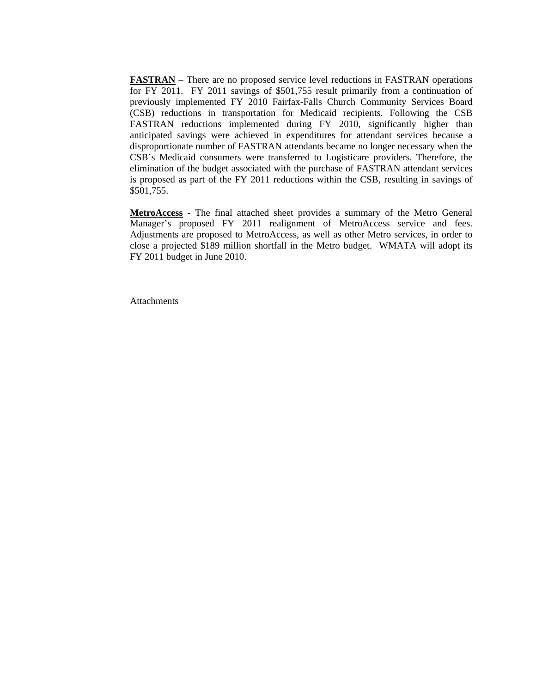**FASTRAN** – There are no proposed service level reductions in FASTRAN operations for FY 2011. FY 2011 savings of \$501,755 result primarily from a continuation of previously implemented FY 2010 Fairfax-Falls Church Community Services Board (CSB) reductions in transportation for Medicaid recipients. Following the CSB FASTRAN reductions implemented during FY 2010, significantly higher than anticipated savings were achieved in expenditures for attendant services because a disproportionate number of FASTRAN attendants became no longer necessary when the CSB's Medicaid consumers were transferred to Logisticare providers. Therefore, the elimination of the budget associated with the purchase of FASTRAN attendant services is proposed as part of the FY 2011 reductions within the CSB, resulting in savings of \$501,755.

**MetroAccess** - The final attached sheet provides a summary of the Metro General Manager's proposed FY 2011 realignment of MetroAccess service and fees. Adjustments are proposed to MetroAccess, as well as other Metro services, in order to close a projected \$189 million shortfall in the Metro budget. WMATA will adopt its FY 2011 budget in June 2010.

**Attachments**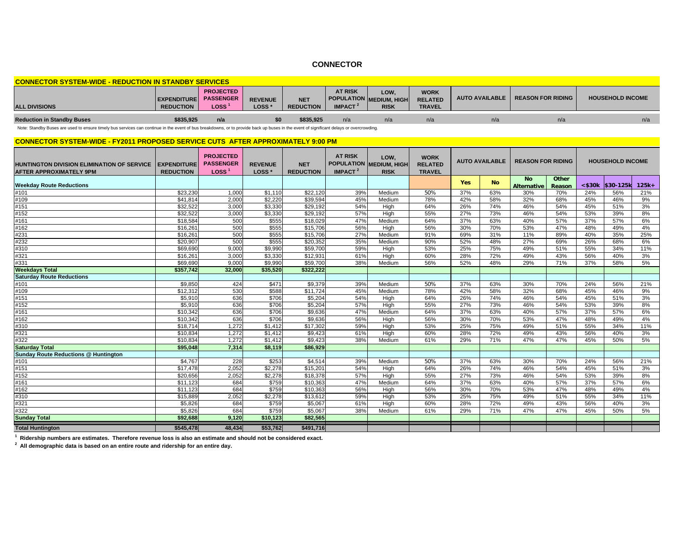# **CONNECTOR**

| <b>CONNECTOR SYSTEM-WIDE - REDUCTION IN STANDBY SERVICES</b> |                                        |                                                     |                                     |                                |                                              |                                                       |                                                |     |                                    |                         |  |  |
|--------------------------------------------------------------|----------------------------------------|-----------------------------------------------------|-------------------------------------|--------------------------------|----------------------------------------------|-------------------------------------------------------|------------------------------------------------|-----|------------------------------------|-------------------------|--|--|
| <b>ALL DIVISIONS</b>                                         | <b>EXPENDITURE</b><br><b>REDUCTION</b> | <b>PROJECTED</b><br><b>PASSENGER</b><br><b>LOSS</b> | <b>REVENUE</b><br>LOSS <sup>*</sup> | <b>NET</b><br><b>REDUCTION</b> | <b>AT RISK</b><br><b>IMPACT</b> <sup>2</sup> | LOW.<br><b>POPULATION MEDIUM, HIGH</b><br><b>RISK</b> | <b>WORK</b><br><b>RELATED</b><br><b>TRAVEL</b> |     | AUTO AVAILABLE   REASON FOR RIDING | <b>HOUSEHOLD INCOME</b> |  |  |
| <b>Reduction in Standby Buses</b>                            | \$835,925                              | n/a                                                 |                                     | \$835,925                      | n/a                                          | n/a                                                   | n/a                                            | n/a | n/a                                |                         |  |  |

Note: Standby Buses are used to ensure timely bus services can continue in the event of bus breakdowns, or to provide back up buses in the event of significant delays or overcrowding.

#### **CONNECTOR SYSTEM-WIDE - FY2011 PROPOSED SERVICE CUTS AFTER APPROXIMATELY 9:00 PM**

| <b>HUNTINGTON DIVISION ELIMINATION OF SERVICE</b><br><b>AFTER APPROXIMATELY 9PM</b> | <b>EXPENDITURE</b><br><b>REDUCTION</b> | <b>PROJECTED</b><br><b>PASSENGER</b><br>Loss <sup>1</sup> | <b>REVENUE</b><br>LOSS <sup>*</sup> | <b>NET</b><br><b>REDUCTION</b> | <b>AT RISK</b><br>IMPACT <sup>2</sup> | LOW,<br>POPULATION MEDIUM, HIGH<br><b>RISK</b> | <b>WORK</b><br><b>RELATED</b><br><b>TRAVEL</b> |            | <b>AUTO AVAILABLE</b> | <b>REASON FOR RIDING</b>        |                 |              | <b>HOUSEHOLD INCOME</b> |         |
|-------------------------------------------------------------------------------------|----------------------------------------|-----------------------------------------------------------|-------------------------------------|--------------------------------|---------------------------------------|------------------------------------------------|------------------------------------------------|------------|-----------------------|---------------------------------|-----------------|--------------|-------------------------|---------|
| <b>Weekday Route Reductions</b>                                                     |                                        |                                                           |                                     |                                |                                       |                                                |                                                | <b>Yes</b> | <b>No</b>             | <b>No</b><br><b>Alternative</b> | Other<br>Reason | $<$ \$30 $k$ | \$30-125k               | $125k+$ |
| #101                                                                                | \$23,230                               | 1,000                                                     | \$1,110                             | \$22.120                       | 39%                                   | Medium                                         | 50%                                            | 37%        | 63%                   | 30%                             | 70%             | 24%          | 56%                     | 21%     |
| #109                                                                                | \$41,814                               | 2,000                                                     | \$2,220                             | \$39,594                       | 45%                                   | Medium                                         | 78%                                            | 42%        | 58%                   | 32%                             | 68%             | 45%          | 46%                     | 9%      |
| $\frac{1}{1151}$                                                                    | \$32,522                               | 3.000                                                     | \$3,330                             | \$29,192                       | 54%                                   | High                                           | 64%                                            | 26%        | 74%                   | 46%                             | 54%             | 45%          | 51%                     | 3%      |
| #152                                                                                | \$32,522                               | 3,000                                                     | \$3,330                             | \$29,192                       | 57%                                   | High                                           | 55%                                            | 27%        | 73%                   | 46%                             | 54%             | 53%          | 39%                     | 8%      |
| #161                                                                                | \$18,584                               | 500                                                       | \$555                               | \$18,029                       | 47%                                   | Medium                                         | 64%                                            | 37%        | 63%                   | 40%                             | 57%             | 37%          | 57%                     | 6%      |
| #162                                                                                | \$16,261                               | 500                                                       | \$555                               | \$15,706                       | 56%                                   | High                                           | 56%                                            | 30%        | 70%                   | 53%                             | 47%             | 48%          | 49%                     | 4%      |
| #231                                                                                | \$16,261                               | 500                                                       | \$555                               | \$15.706                       | 27%                                   | Medium                                         | 91%                                            | 69%        | 31%                   | 11%                             | 89%             | 40%          | 35%                     | 25%     |
| #232                                                                                | \$20.907                               | 500                                                       | \$555                               | \$20,352                       | 35%                                   | Medium                                         | 90%                                            | 52%        | 48%                   | 27%                             | 69%             | 26%          | 68%                     | 6%      |
| #310                                                                                | \$69,690                               | 9,000                                                     | \$9,990                             | \$59,700                       | 59%                                   | High                                           | 53%                                            | 25%        | 75%                   | 49%                             | 51%             | 55%          | 34%                     | 11%     |
| #321                                                                                | \$16,261                               | 3.000                                                     | \$3,330                             | \$12,931                       | 61%                                   | High                                           | 60%                                            | 28%        | 72%                   | 49%                             | 43%             | 56%          | 40%                     | 3%      |
| #331                                                                                | \$69,690                               | 9,000                                                     | \$9,990                             | \$59,700                       | 38%                                   | Medium                                         | 56%                                            | 52%        | 48%                   | 29%                             | 71%             | 37%          | 58%                     | 5%      |
| <b>Weekdays Total</b>                                                               | \$357,742                              | 32,000                                                    | \$35,520                            | \$322.222                      |                                       |                                                |                                                |            |                       |                                 |                 |              |                         |         |
| <b>Saturday Route Reductions</b>                                                    |                                        |                                                           |                                     |                                |                                       |                                                |                                                |            |                       |                                 |                 |              |                         |         |
| #101                                                                                | \$9.850                                | 424                                                       | \$471                               | \$9.379                        | 39%                                   | Medium                                         | 50%                                            | 37%        | 63%                   | 30%                             | 70%             | 24%          | 56%                     | 21%     |
| #109                                                                                | \$12,312                               | 530                                                       | \$588                               | \$11,724                       | 45%                                   | Medium                                         | 78%                                            | 42%        | 58%                   | 32%                             | 68%             | 45%          | 46%                     | 9%      |
| #151                                                                                | \$5.910                                | 636                                                       | \$706                               | \$5.204                        | 54%                                   | High                                           | 64%                                            | 26%        | 74%                   | 46%                             | 54%             | 45%          | 51%                     | 3%      |
| #152                                                                                | \$5,910                                | 636                                                       | \$706                               | \$5,204                        | 57%                                   | High                                           | 55%                                            | 27%        | 73%                   | 46%                             | 54%             | 53%          | 39%                     | 8%      |
| #161                                                                                | \$10,342                               | 636                                                       | \$706                               | \$9,636                        | 47%                                   | Medium                                         | 64%                                            | 37%        | 63%                   | 40%                             | 57%             | 37%          | 57%                     | 6%      |
| #162                                                                                | \$10,342                               | 636                                                       | \$706                               | \$9,636                        | 56%                                   | High                                           | 56%                                            | 30%        | 70%                   | 53%                             | 47%             | 48%          | 49%                     | 4%      |
| #310                                                                                | \$18,714                               | 1,272                                                     | \$1,412                             | \$17,302                       | 59%                                   | High                                           | 53%                                            | 25%        | 75%                   | 49%                             | 51%             | 55%          | 34%                     | 11%     |
| #321                                                                                | \$10,834                               | 1,272                                                     | \$1,412                             | \$9,423                        | 61%                                   | High                                           | 60%                                            | 28%        | 72%                   | 49%                             | 43%             | 56%          | 40%                     | 3%      |
| #322                                                                                | \$10,834                               | 1,272                                                     | \$1,412                             | \$9,423                        | 38%                                   | Medium                                         | 61%                                            | 29%        | 71%                   | 47%                             | 47%             | 45%          | 50%                     | 5%      |
| <b>Saturday Total</b>                                                               | \$95,048                               | 7,314                                                     | \$8,119                             | \$86,929                       |                                       |                                                |                                                |            |                       |                                 |                 |              |                         |         |
| <b>Sunday Route Reductions @ Huntington</b>                                         |                                        |                                                           |                                     |                                |                                       |                                                |                                                |            |                       |                                 |                 |              |                         |         |
| #101                                                                                | \$4.767                                | 228                                                       | \$253                               | \$4.514                        | 39%                                   | Medium                                         | 50%                                            | 37%        | 63%                   | 30%                             | 70%             | 24%          | 56%                     | 21%     |
| #151                                                                                | $\sqrt{$17,478}$                       | 2,052                                                     | \$2,278                             | \$15,201                       | 54%                                   | High                                           | 64%                                            | 26%        | 74%                   | 46%                             | 54%             | 45%          | 51%                     | 3%      |
| #152                                                                                | \$20,656                               | 2,052                                                     | \$2,278                             | \$18,378                       | 57%                                   | High                                           | 55%                                            | 27%        | 73%                   | 46%                             | 54%             | 53%          | 39%                     | 8%      |
| #161                                                                                | \$11.123                               | 684                                                       | \$759                               | \$10,363                       | 47%                                   | Medium                                         | 64%                                            | 37%        | 63%                   | 40%                             | 57%             | 37%          | 57%                     | 6%      |
| #162                                                                                | $\overline{511,123}$                   | 684                                                       | \$759                               | \$10,363                       | 56%                                   | High                                           | 56%                                            | 30%        | 70%                   | 53%                             | 47%             | 48%          | 49%                     | 4%      |
| #310                                                                                | \$15,889                               | 2,052                                                     | \$2,278                             | \$13,612                       | 59%                                   | High                                           | 53%                                            | 25%        | 75%                   | 49%                             | 51%             | 55%          | 34%                     | 11%     |
| #321                                                                                | \$5.826                                | 684                                                       | \$759                               | \$5,067                        | 61%                                   | High                                           | 60%                                            | 28%        | 72%                   | 49%                             | 43%             | 56%          | 40%                     | 3%      |
| #322                                                                                | \$5,826                                | 684                                                       | \$759                               | \$5,067                        | 38%                                   | Medium                                         | 61%                                            | 29%        | 71%                   | 47%                             | 47%             | 45%          | 50%                     | 5%      |
| <b>Sunday Total</b>                                                                 | \$92,688                               | 9.120                                                     | \$10,123                            | \$82,565                       |                                       |                                                |                                                |            |                       |                                 |                 |              |                         |         |
| <b>Total Huntington</b>                                                             | \$545,478                              | 48,434                                                    | \$53,762                            | \$491,716                      |                                       |                                                |                                                |            |                       |                                 |                 |              |                         |         |

**1 Ridership numbers are estimates. Therefore revenue loss is also an estimate and should not be considered exact.**

**2 All demographic data is based on an entire route and ridership for an entire day.**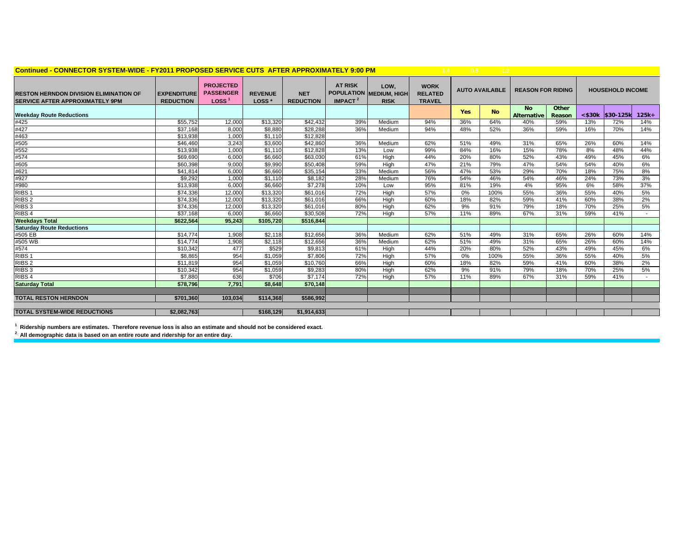| Continued - CONNECTOR SYSTEM-WIDE - FY2011 PROPOSED SERVICE CUTS AFTER APPROXIMATELY 9:00 PM |                                         |                                                           |                                     |                                |                              |                                                | 1.4                                            | 0.5        |                       |                                 |                 |              |                         |         |
|----------------------------------------------------------------------------------------------|-----------------------------------------|-----------------------------------------------------------|-------------------------------------|--------------------------------|------------------------------|------------------------------------------------|------------------------------------------------|------------|-----------------------|---------------------------------|-----------------|--------------|-------------------------|---------|
| <b>RESTON HERNDON DIVISION ELIMINATION OF</b><br><b>SERVICE AFTER APPROXIMATELY 9PM</b>      | <b>LEXPENDITURE</b><br><b>REDUCTION</b> | <b>PROJECTED</b><br><b>PASSENGER</b><br>LOSS <sup>®</sup> | <b>REVENUE</b><br>LOSS <sup>*</sup> | <b>NET</b><br><b>REDUCTION</b> | <b>AT RISK</b><br>IMPACT $2$ | LOW,<br>POPULATION MEDIUM, HIGH<br><b>RISK</b> | <b>WORK</b><br><b>RELATED</b><br><b>TRAVEL</b> |            | <b>AUTO AVAILABLE</b> | <b>REASON FOR RIDING</b>        |                 |              | <b>HOUSEHOLD INCOME</b> |         |
| <b>Weekday Route Reductions</b>                                                              |                                         |                                                           |                                     |                                |                              |                                                |                                                | <b>Yes</b> | <b>No</b>             | <b>No</b><br><b>Alternative</b> | Other<br>Reason | $<$ \$30 $k$ | \$30-125k               | $125k+$ |
| #425                                                                                         | \$55,752                                | 12,000                                                    | \$13,320                            | \$42,432                       | 39%                          | Medium                                         | 94%                                            | 36%        | 64%                   | 40%                             | 59%             | 13%          | 72%                     | 14%     |
| #427                                                                                         | \$37,168                                | 8,000                                                     | \$8,880                             | \$28,288                       | 36%                          | Medium                                         | 94%                                            | 48%        | 52%                   | 36%                             | 59%             | 16%          | 70%                     | 14%     |
| #463                                                                                         | \$13,938                                | 1,000                                                     | \$1,110                             | \$12,828                       |                              |                                                |                                                |            |                       |                                 |                 |              |                         |         |
| #505                                                                                         | \$46,460                                | 3.243                                                     | \$3,600                             | \$42,860                       | 36%                          | Medium                                         | 62%                                            | 51%        | 49%                   | 31%                             | 65%             | 26%          | 60%                     | 14%     |
| #552                                                                                         | \$13,938                                | 1,000                                                     | \$1,110                             | \$12,828                       | 13%                          | Low                                            | 99%                                            | 84%        | 16%                   | 15%                             | 78%             | 8%           | 48%                     | 44%     |
| #574                                                                                         | \$69,690                                | 6,000                                                     | \$6.660                             | \$63,030                       | 61%                          | High                                           | 44%                                            | 20%        | 80%                   | 52%                             | 43%             | 49%          | 45%                     | 6%      |
| #605                                                                                         | \$60,398                                | 9,000                                                     | \$9,990                             | \$50,408                       | 59%                          | High                                           | 47%                                            | 21%        | 79%                   | 47%                             | 54%             | 54%          | 40%                     | 6%      |
| #621                                                                                         | \$41,814                                | 6,000                                                     | \$6,660                             | \$35,154                       | 33%                          | Medium                                         | 56%                                            | 47%        | 53%                   | 29%                             | 70%             | 18%          | 75%                     | 8%      |
| #927                                                                                         | \$9,292                                 | 1,000                                                     | \$1.110                             | \$8,182                        | 28%                          | Medium                                         | 76%                                            | 54%        | 46%                   | 54%                             | 46%             | 24%          | 73%                     | 3%      |
| #980                                                                                         | \$13,938                                | 6.000                                                     | \$6,660                             | \$7,278                        | 10%                          | Low                                            | 95%                                            | 81%        | 19%                   | 4%                              | 95%             | 6%           | 58%                     | 37%     |
| RIBS <sub>1</sub>                                                                            | \$74,336                                | 12,000                                                    | \$13,320                            | \$61,016                       | 72%                          | High                                           | 57%                                            | 0%         | 100%                  | 55%                             | 36%             | 55%          | 40%                     | 5%      |
| RIBS <sub>2</sub>                                                                            | \$74,336                                | 12,000                                                    | \$13,320                            | \$61,016                       | 66%                          | High                                           | 60%                                            | 18%        | 82%                   | 59%                             | 41%             | 60%          | 38%                     | 2%      |
| RIBS <sub>3</sub>                                                                            | \$74,336                                | 12,000                                                    | \$13,320                            | \$61,016                       | 80%                          | High                                           | 62%                                            | 9%         | 91%                   | 79%                             | 18%             | 70%          | 25%                     | 5%      |
| RIBS <sub>4</sub>                                                                            | \$37,168                                | 6,000                                                     | \$6,660                             | \$30,508                       | 72%                          | High                                           | 57%                                            | 11%        | 89%                   | 67%                             | 31%             | 59%          | 41%                     |         |
| <b>Weekdays Total</b>                                                                        | \$622,564                               | 95,243                                                    | \$105.720                           | \$516.844                      |                              |                                                |                                                |            |                       |                                 |                 |              |                         |         |
| <b>Saturday Route Reductions</b>                                                             |                                         |                                                           |                                     |                                |                              |                                                |                                                |            |                       |                                 |                 |              |                         |         |
| #505 EB                                                                                      | \$14,774                                | 1,908                                                     | \$2,118                             | \$12,656                       | 36%                          | Medium                                         | 62%                                            | 51%        | 49%                   | 31%                             | 65%             | 26%          | 60%                     | 14%     |
| #505 WB                                                                                      | \$14,774                                | 1,908                                                     | \$2,118                             | \$12,656                       | 36%                          | Medium                                         | 62%                                            | 51%        | 49%                   | 31%                             | 65%             | 26%          | 60%                     | 14%     |
| #574                                                                                         | \$10,342                                | 477                                                       | \$529                               | \$9,813                        | 61%                          | High                                           | 44%                                            | 20%        | 80%                   | 52%                             | 43%             | 49%          | 45%                     | 6%      |
| RIBS <sub>1</sub>                                                                            | \$8,865                                 | 954                                                       | \$1,059                             | \$7,806                        | 72%                          | High                                           | 57%                                            | 0%         | 100%                  | 55%                             | 36%             | 55%          | 40%                     | 5%      |
| RIBS <sub>2</sub>                                                                            | \$11,819                                | 954                                                       | \$1.059                             | \$10,760                       | 66%                          | High                                           | 60%                                            | 18%        | 82%                   | 59%                             | 41%             | 60%          | 38%                     | 2%      |
| RIBS <sub>3</sub>                                                                            | \$10,342                                | 954                                                       | \$1,059                             | \$9,283                        | 80%                          | High                                           | 62%                                            | 9%         | 91%                   | 79%                             | 18%             | 70%          | 25%                     | 5%      |
| RIBS <sub>4</sub>                                                                            | \$7,880                                 | 636                                                       | \$706                               | \$7,174                        | 72%                          | High                                           | 57%                                            | 11%        | 89%                   | 67%                             | 31%             | 59%          | 41%                     | $\sim$  |
| <b>Saturday Total</b>                                                                        | \$78,796                                | 7.791                                                     | \$8,648                             | \$70,148                       |                              |                                                |                                                |            |                       |                                 |                 |              |                         |         |
|                                                                                              |                                         |                                                           |                                     |                                |                              |                                                |                                                |            |                       |                                 |                 |              |                         |         |
| <b>TOTAL RESTON HERNDON</b>                                                                  | \$701,360                               | 103,034                                                   | \$114,368                           | \$586,992                      |                              |                                                |                                                |            |                       |                                 |                 |              |                         |         |
|                                                                                              |                                         |                                                           |                                     |                                |                              |                                                |                                                |            |                       |                                 |                 |              |                         |         |
| <b>TOTAL SYSTEM-WIDE REDUCTIONS</b>                                                          | \$2.082.763                             |                                                           | \$168.129                           | \$1,914,633                    |                              |                                                |                                                |            |                       |                                 |                 |              |                         |         |

**1 Ridership numbers are estimates. Therefore revenue loss is also an estimate and should not be considered exact.**

**2 All demographic data is based on an entire route and ridership for an entire day.**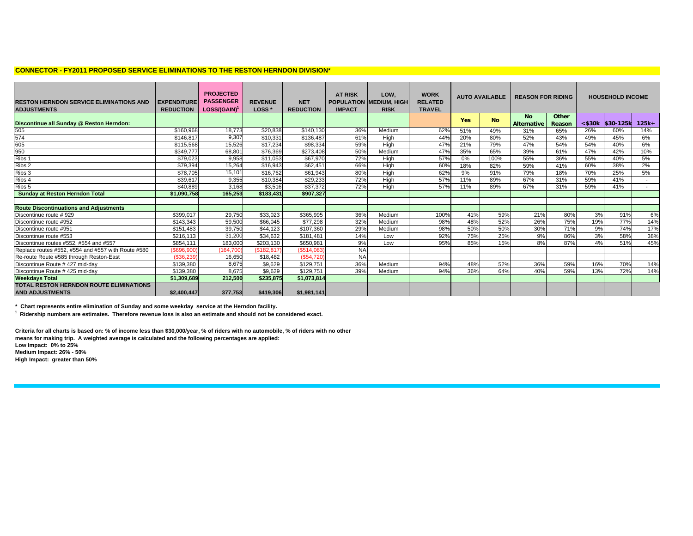#### **CONNECTOR - FY2011 PROPOSED SERVICE ELIMINATIONS TO THE RESTON HERNDON DIVISION\***

| <b>RESTON HERNDON SERVICE ELIMINATIONS AND</b><br><b>ADJUSTMENTS</b> | <b>EXPENDITURE</b><br><b>REDUCTION</b> | <b>PROJECTED</b><br><b>PASSENGER</b><br>LOSS/(GAIN) <sup>1</sup> | <b>REVENUE</b><br>LOSS <sup>*</sup> | <b>NET</b><br><b>REDUCTION</b> | <b>AT RISK</b><br><b>IMPACT</b> | LOW,<br>POPULATION MEDIUM, HIGH<br><b>RISK</b> | <b>WORK</b><br><b>RELATED</b><br><b>TRAVEL</b> |            | <b>AUTO AVAILABLE</b> | <b>REASON FOR RIDING</b>        |                 |              | <b>HOUSEHOLD INCOME</b> |                          |
|----------------------------------------------------------------------|----------------------------------------|------------------------------------------------------------------|-------------------------------------|--------------------------------|---------------------------------|------------------------------------------------|------------------------------------------------|------------|-----------------------|---------------------------------|-----------------|--------------|-------------------------|--------------------------|
| Discontinue all Sunday @ Reston Herndon:                             |                                        |                                                                  |                                     |                                |                                 |                                                |                                                | <b>Yes</b> | <b>No</b>             | <b>No</b><br><b>Alternative</b> | Other<br>Reason | $<$ \$30 $k$ | \$30-125k               | $125k+$                  |
| 505<br>574<br>605<br>950                                             | \$160.968                              | 18.773                                                           | \$20,838                            | \$140.130                      | 36%                             | Medium                                         | 62%                                            | 51%        | 49%                   | 31%                             | 65%             | 26%          | 60%                     | 14%                      |
|                                                                      | \$146.817                              | 9.307                                                            | \$10.331                            | \$136.487                      | 61%                             | High                                           | 44%                                            | 20%        | 80%                   | 52%                             | 43%             | 49%          | 45%                     | 6%                       |
|                                                                      | \$115.568                              | 15,526                                                           | \$17,234                            | \$98,334                       | 59%                             | High                                           | 47%                                            | 21%        | 79%                   | 47%                             | 54%             | 54%          | 40%                     | 6%                       |
|                                                                      | \$349.777                              | 68,801                                                           | \$76.369                            | \$273,408                      | 50%                             | Medium                                         | 47%                                            | 35%        | 65%                   | 39%                             | 61%             | 47%          | 42%                     | 10%                      |
| Ribs 1                                                               | \$79,023                               | 9,958                                                            | \$11,053                            | \$67,970                       | 72%                             | High                                           | 57%                                            | 0%         | 100%                  | 55%                             | 36%             | 55%          | 40%                     | 5%                       |
| Ribs 2                                                               | \$79,394                               | 15.264                                                           | \$16,943                            | \$62,451                       | 66%                             | High                                           | 60%                                            | 18%        | 82%                   | 59%                             | 41%             | 60%          | 38%                     | 2%                       |
| Ribs 3                                                               | \$78.705                               | 15,101                                                           | \$16.762                            | \$61.943                       | 80%                             | High                                           | 62%                                            | 9%         | 91%                   | 79%                             | 18%             | 70%          | 25%                     | 5%                       |
| Ribs 4                                                               | \$39,617                               | 9,355                                                            | \$10,384                            | \$29,233                       | 72%                             | High                                           | 57%                                            | 11%        | 89%                   | 67%                             | 31%             | 59%          | 41%                     | $\overline{\phantom{a}}$ |
| Ribs <sub>5</sub>                                                    | \$40,889                               | 3.168                                                            | \$3.516                             | \$37,372                       | 72%                             | High                                           | 57%                                            | 11%        | 89%                   | 67%                             | 31%             | 59%          | 41%                     |                          |
| <b>Sunday at Reston Herndon Total</b>                                | \$1.090.758                            | 165,253                                                          | \$183.431                           | \$907,327                      |                                 |                                                |                                                |            |                       |                                 |                 |              |                         |                          |
|                                                                      |                                        |                                                                  |                                     |                                |                                 |                                                |                                                |            |                       |                                 |                 |              |                         |                          |
| <b>Route Discontinuations and Adjustments</b>                        |                                        |                                                                  |                                     |                                |                                 |                                                |                                                |            |                       |                                 |                 |              |                         |                          |
| Discontinue route #929                                               | \$399.017                              | 29,750                                                           | \$33,023                            | \$365,995                      | 36%                             | Medium                                         | 100%                                           | 41%        | 59%                   | 21%                             | 80%             | 3%           | 91%                     | 6%                       |
| Discontinue route #952                                               | \$143,343                              | 59,500                                                           | \$66,045                            | \$77,298                       | 32%                             | Medium                                         | 98%                                            | 48%        | 52%                   | 26%                             | 75%             | 19%          | 77%                     | 14%                      |
| Discontinue route #951                                               | \$151,483                              | 39,750                                                           | \$44,123                            | \$107,360                      | 29%                             | Medium                                         | 98%                                            | 50%        | 50%                   | 30%                             | 71%             | 9%           | 74%                     | 17%                      |
| Discontinue route #553                                               | \$216, 113                             | 31,200                                                           | \$34,632                            | \$181,481                      | 14%                             | Low                                            | 92%                                            | 75%        | 25%                   | 9%                              | 86%             | 3%           | 58%                     | 38%                      |
| Discontinue routes #552, #554 and #557                               | \$854,111                              | 183,000                                                          | \$203,130                           | \$650.981                      | 9%                              | Low                                            | 95%                                            | 85%        | 15%                   | 8%                              | 87%             | 4%           | 51%                     | 45%                      |
| Replace routes #552, #554 and #557 with Route #580                   | (\$696,900                             | (164,700                                                         | (S182.817)                          | (\$514,083                     | <b>NA</b>                       |                                                |                                                |            |                       |                                 |                 |              |                         |                          |
| Re-route Route #585 through Reston-East                              | (\$36,239                              | 16,650                                                           | \$18,482                            | (\$54.720)                     | <b>NA</b>                       |                                                |                                                |            |                       |                                 |                 |              |                         |                          |
| Discontinue Route #427 mid-day                                       | \$139,380                              | 8,675                                                            | \$9,629                             | \$129,751                      | 36%                             | Medium                                         | 94%                                            | 48%        | 52%                   | 36%                             | 59%             | 16%          | 70%                     | 14%                      |
| Discontinue Route #425 mid-day                                       | \$139,380                              | 8,675                                                            | \$9,629                             | \$129,751                      | 39%                             | Medium                                         | 94%                                            | 36%        | 64%                   | 40%                             | 59%             | 13%          | 72%                     | 14%                      |
| <b>Weekdays Total</b>                                                | \$1,309,689                            | 212,500                                                          | \$235.875                           | \$1,073,814                    |                                 |                                                |                                                |            |                       |                                 |                 |              |                         |                          |
| TOTAL RESTON HERNDON ROUTE ELIMINATIONS                              |                                        |                                                                  |                                     |                                |                                 |                                                |                                                |            |                       |                                 |                 |              |                         |                          |
| <b>AND ADJUSTMENTS</b>                                               | \$2,400,447                            | 377.753                                                          | \$419,306                           | \$1,981,141                    |                                 |                                                |                                                |            |                       |                                 |                 |              |                         |                          |

**\* Chart represents entire elimination of Sunday and some weekday service at the Herndon facility.**

**1 Ridership numbers are estimates. Therefore revenue loss is also an estimate and should not be considered exact.**

**Criteria for all charts is based on: % of income less than \$30,000/year, % of riders with no automobile, % of riders with no other means for making trip. A weighted average is calculated and the following percentages are applied: Low Impact: 0% to 25% Medium Impact: 26% - 50%**

**High Impact: greater than 50%**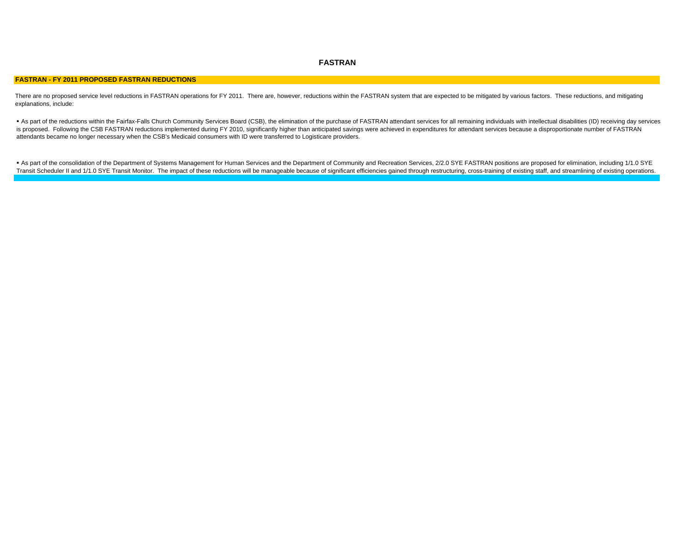## **FASTRAN**

#### **FASTRAN - FY 2011 PROPOSED FASTRAN REDUCTIONS**

There are no proposed service level reductions in FASTRAN operations for FY 2011. There are, however, reductions within the FASTRAN system that are expected to be mitigated by various factors. These reductions, and mitigat explanations, include:

As part of the reductions within the Fairfax-Falls Church Community Services Board (CSB), the elimination of the purchase of FASTRAN attendant services for all remaining individuals with intellectual disabilities (ID) rece is proposed. Following the CSB FASTRAN reductions implemented during FY 2010, significantly higher than anticipated savings were achieved in expenditures for attendant services because a disproportionate number of FASTRAN attendants became no longer necessary when the CSB's Medicaid consumers with ID were transferred to Logisticare providers.

■ As part of the consolidation of the Department of Systems Management for Human Services and the Department of Community and Recreation Services, 2/2.0 SYE FASTRAN positions are proposed for elimination, including 1/1.0 Transit Scheduler II and 1/1.0 SYE Transit Monitor. The impact of these reductions will be manageable because of significant efficiencies gained through restructuring, cross-training of existing staff, and streamlining of